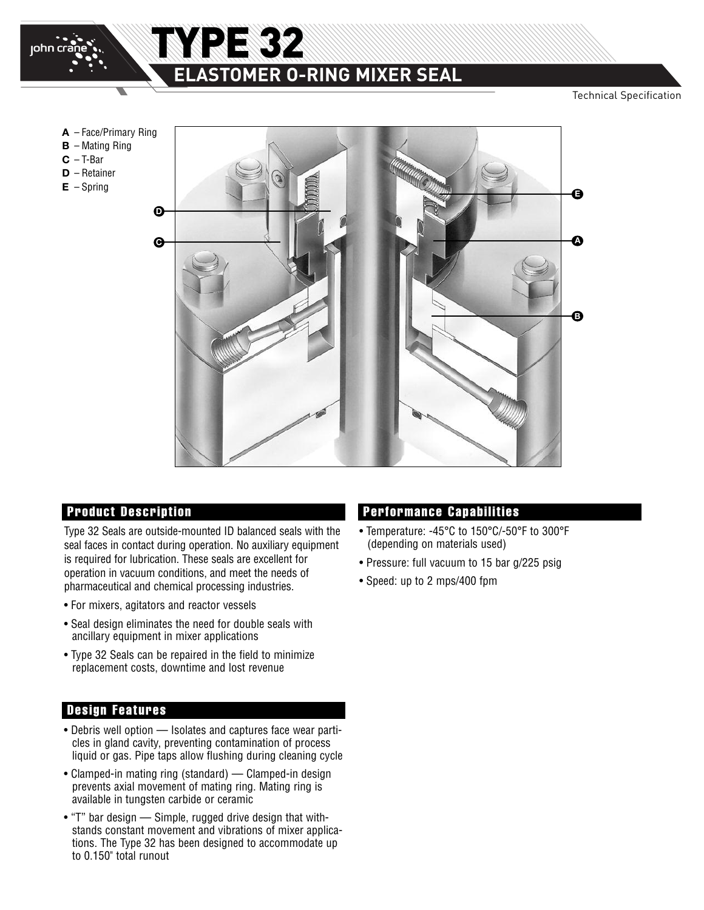

# **ELASTOMER O-RING MIXER SEAL**

TYPE 32

Technical Specification



Type 32 Seals are outside-mounted ID balanced seals with the seal faces in contact during operation. No auxiliary equipment is required for lubrication. These seals are excellent for operation in vacuum conditions, and meet the needs of pharmaceutical and chemical processing industries.

- For mixers, agitators and reactor vessels
- Seal design eliminates the need for double seals with ancillary equipment in mixer applications
- Type 32 Seals can be repaired in the field to minimize replacement costs, downtime and lost revenue

### **Design Features**

- Debris well option Isolates and captures face wear particles in gland cavity, preventing contamination of process liquid or gas. Pipe taps allow flushing during cleaning cycle
- Clamped-in mating ring (standard) Clamped-in design prevents axial movement of mating ring. Mating ring is available in tungsten carbide or ceramic
- "T" bar design Simple, rugged drive design that withstands constant movement and vibrations of mixer applications. The Type 32 has been designed to accommodate up to 0.150" total runout

### **Product Description Performance Capabilities**

- Temperature: -45°C to 150°C/-50°F to 300°F (depending on materials used)
- Pressure: full vacuum to 15 bar g/225 psig
- Speed: up to 2 mps/400 fpm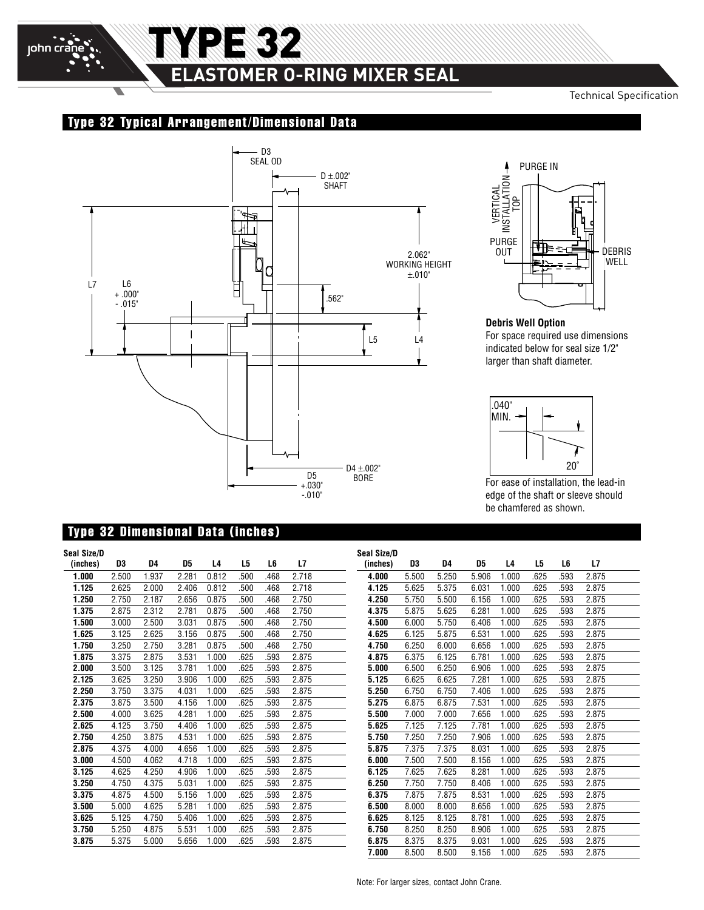

## TYPE 32 **ELASTOMER O-RING MIXER SEAL** Δ

### Technical Specification

### **Type 32 Typical Arrangement/Dimensional Data**





### **Debris Well Option** For space required use dimensions indicated below for seal size 1/2" larger than shaft diameter.



For ease of installation, the lead-in edge of the shaft or sleeve should be chamfered as shown.

### **Type 32 Dimensional Data (inches)**

| Seal Size/D |       |       |       |       |      |      |       |  |
|-------------|-------|-------|-------|-------|------|------|-------|--|
| (inches)    | D3    | D4    | D5    | L4    | L5   | L6   | L7    |  |
| 1.000       | 2.500 | 1.937 | 2.281 | 0.812 | .500 | .468 | 2.718 |  |
| 1.125       | 2.625 | 2.000 | 2.406 | 0.812 | .500 | .468 | 2.718 |  |
| 1.250       | 2.750 | 2.187 | 2.656 | 0.875 | .500 | .468 | 2.750 |  |
| 1.375       | 2.875 | 2.312 | 2.781 | 0.875 | .500 | .468 | 2.750 |  |
| 1.500       | 3.000 | 2.500 | 3.031 | 0.875 | .500 | .468 | 2.750 |  |
| 1.625       | 3.125 | 2.625 | 3.156 | 0.875 | .500 | .468 | 2.750 |  |
| 1.750       | 3.250 | 2.750 | 3.281 | 0.875 | .500 | .468 | 2.750 |  |
| 1.875       | 3.375 | 2.875 | 3.531 | 1.000 | .625 | .593 | 2.875 |  |
| 2.000       | 3.500 | 3.125 | 3.781 | 1.000 | .625 | .593 | 2.875 |  |
| 2.125       | 3.625 | 3.250 | 3.906 | 1.000 | .625 | .593 | 2.875 |  |
| 2.250       | 3.750 | 3.375 | 4.031 | 1.000 | .625 | .593 | 2.875 |  |
| 2.375       | 3.875 | 3.500 | 4.156 | 1.000 | .625 | .593 | 2.875 |  |
| 2.500       | 4.000 | 3.625 | 4.281 | 1.000 | .625 | .593 | 2.875 |  |
| 2.625       | 4.125 | 3.750 | 4.406 | 1.000 | .625 | .593 | 2.875 |  |
| 2.750       | 4.250 | 3.875 | 4.531 | 1.000 | .625 | .593 | 2.875 |  |
| 2.875       | 4.375 | 4.000 | 4.656 | 1.000 | .625 | .593 | 2.875 |  |
| 3.000       | 4.500 | 4.062 | 4.718 | 1.000 | .625 | .593 | 2.875 |  |
| 3.125       | 4.625 | 4.250 | 4.906 | 1.000 | .625 | .593 | 2.875 |  |
| 3.250       | 4.750 | 4.375 | 5.031 | 1.000 | .625 | .593 | 2.875 |  |
| 3.375       | 4.875 | 4.500 | 5.156 | 1.000 | .625 | .593 | 2.875 |  |
| 3.500       | 5.000 | 4.625 | 5.281 | 1.000 | .625 | .593 | 2.875 |  |
| 3.625       | 5.125 | 4.750 | 5.406 | 1.000 | .625 | .593 | 2.875 |  |
| 3.750       | 5.250 | 4.875 | 5.531 | 1.000 | .625 | .593 | 2.875 |  |
| 3.875       | 5.375 | 5.000 | 5.656 | 1.000 | .625 | .593 | 2.875 |  |
|             |       |       |       |       |      |      |       |  |

| Seal Size/D |       |       |       |       |      |      |       |  |
|-------------|-------|-------|-------|-------|------|------|-------|--|
| (inches)    | D3    | D4    | D5    | L4    | L5   | L6   | L7    |  |
| 4.000       | 5.500 | 5.250 | 5.906 | 1.000 | .625 | .593 | 2.875 |  |
| 4.125       | 5.625 | 5.375 | 6.031 | 1.000 | .625 | .593 | 2.875 |  |
| 4.250       | 5.750 | 5.500 | 6.156 | 1.000 | .625 | .593 | 2.875 |  |
| 4.375       | 5.875 | 5.625 | 6.281 | 1.000 | .625 | .593 | 2.875 |  |
| 4.500       | 6.000 | 5.750 | 6.406 | 1.000 | .625 | .593 | 2.875 |  |
| 4.625       | 6.125 | 5.875 | 6.531 | 1.000 | .625 | .593 | 2.875 |  |
| 4.750       | 6.250 | 6.000 | 6.656 | 1.000 | .625 | .593 | 2.875 |  |
| 4.875       | 6.375 | 6.125 | 6.781 | 1.000 | .625 | .593 | 2.875 |  |
| 5.000       | 6.500 | 6.250 | 6.906 | 1.000 | .625 | .593 | 2.875 |  |
| 5.125       | 6.625 | 6.625 | 7.281 | 1.000 | .625 | .593 | 2.875 |  |
| 5.250       | 6.750 | 6.750 | 7.406 | 1.000 | .625 | .593 | 2.875 |  |
| 5.275       | 6.875 | 6.875 | 7.531 | 1.000 | .625 | .593 | 2.875 |  |
| 5.500       | 7.000 | 7.000 | 7.656 | 1.000 | .625 | .593 | 2.875 |  |
| 5.625       | 7.125 | 7.125 | 7.781 | 1.000 | .625 | .593 | 2.875 |  |
| 5.750       | 7.250 | 7.250 | 7.906 | 1.000 | .625 | .593 | 2.875 |  |
| 5.875       | 7.375 | 7.375 | 8.031 | 1.000 | .625 | .593 | 2.875 |  |
| 6.000       | 7.500 | 7.500 | 8.156 | 1.000 | .625 | .593 | 2.875 |  |
| 6.125       | 7.625 | 7.625 | 8.281 | 1.000 | .625 | .593 | 2.875 |  |
| 6.250       | 7.750 | 7.750 | 8.406 | 1.000 | .625 | .593 | 2.875 |  |
| 6.375       | 7.875 | 7.875 | 8.531 | 1.000 | .625 | .593 | 2.875 |  |
| 6.500       | 8.000 | 8.000 | 8.656 | 1.000 | .625 | .593 | 2.875 |  |
| 6.625       | 8.125 | 8.125 | 8.781 | 1.000 | .625 | .593 | 2.875 |  |
| 6.750       | 8.250 | 8.250 | 8.906 | 1.000 | .625 | .593 | 2.875 |  |
| 6.875       | 8.375 | 8.375 | 9.031 | 1.000 | .625 | .593 | 2.875 |  |
| 7.000       | 8.500 | 8.500 | 9.156 | 1.000 | .625 | .593 | 2.875 |  |

Note: For larger sizes, contact John Crane.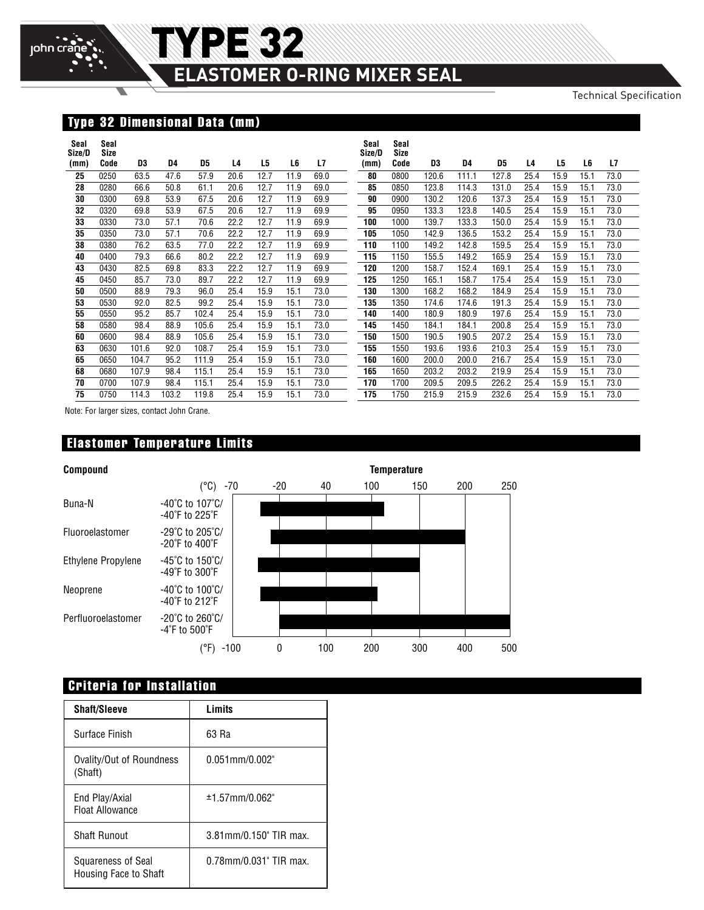# **ELASTOMER O-RING MIXER SEAL**

TYPE 32

Technical Specification

### **Type 32 Dimensional Data (mm)**

| Seal<br>Size/D | Seal<br>Size |       |       |       |      |      |      |      | Seal<br>Size/D | Seal<br>Size |       |       |       |      |      |      |      |
|----------------|--------------|-------|-------|-------|------|------|------|------|----------------|--------------|-------|-------|-------|------|------|------|------|
| (mm)           | Code         | D3    | D4    | D5    | L4   | L5   | L6   | L7   | (mm)           | Code         | D3    | D4    | D5    | L4   | L5   | L6   | L7   |
| 25             | 0250         | 63.5  | 47.6  | 57.9  | 20.6 | 12.7 | 11.9 | 69.0 | 80             | 0800         | 120.6 | 111.1 | 127.8 | 25.4 | 15.9 | 15.1 | 73.0 |
| 28             | 0280         | 66.6  | 50.8  | 61.1  | 20.6 | 12.7 | 11.9 | 69.0 | 85             | 0850         | 123.8 | 114.3 | 131.0 | 25.4 | 15.9 | 15.1 | 73.0 |
| 30             | 0300         | 69.8  | 53.9  | 67.5  | 20.6 | 12.7 | 11.9 | 69.9 | 90             | 0900         | 130.2 | 120.6 | 137.3 | 25.4 | 15.9 | 15.1 | 73.0 |
| 32             | 0320         | 69.8  | 53.9  | 67.5  | 20.6 | 12.7 | 11.9 | 69.9 | 95             | 0950         | 133.3 | 123.8 | 140.5 | 25.4 | 15.9 | 15.1 | 73.0 |
| 33             | 0330         | 73.0  | 57.1  | 70.6  | 22.2 | 12.7 | 11.9 | 69.9 | 100            | 1000         | 139.7 | 133.3 | 150.0 | 25.4 | 15.9 | 15.1 | 73.0 |
| 35             | 0350         | 73.0  | 57.1  | 70.6  | 22.2 | 12.7 | 11.9 | 69.9 | 105            | 1050         | 142.9 | 136.5 | 153.2 | 25.4 | 15.9 | 15.1 | 73.0 |
| 38             | 0380         | 76.2  | 63.5  | 77.0  | 22.2 | 12.7 | 11.9 | 69.9 | 110            | 1100         | 149.2 | 142.8 | 159.5 | 25.4 | 15.9 | 15.1 | 73.0 |
| 40             | 0400         | 79.3  | 66.6  | 80.2  | 22.2 | 12.7 | 11.9 | 69.9 | 115            | 1150         | 155.5 | 149.2 | 165.9 | 25.4 | 15.9 | 15.1 | 73.0 |
| 43             | 0430         | 82.5  | 69.8  | 83.3  | 22.2 | 12.7 | 11.9 | 69.9 | 120            | 1200         | 158.7 | 152.4 | 169.1 | 25.4 | 15.9 | 15.1 | 73.0 |
| 45             | 0450         | 85.7  | 73.0  | 89.7  | 22.2 | 12.7 | 11.9 | 69.9 | 125            | 1250         | 165.1 | 158.7 | 175.4 | 25.4 | 15.9 | 15.1 | 73.0 |
| 50             | 0500         | 88.9  | 79.3  | 96.0  | 25.4 | 15.9 | 15.1 | 73.0 | 130            | 1300         | 168.2 | 168.2 | 184.9 | 25.4 | 15.9 | 15.1 | 73.0 |
| 53             | 0530         | 92.0  | 82.5  | 99.2  | 25.4 | 15.9 | 15.1 | 73.0 | 135            | 1350         | 174.6 | 174.6 | 191.3 | 25.4 | 15.9 | 15.1 | 73.0 |
| 55             | 0550         | 95.2  | 85.7  | 102.4 | 25.4 | 15.9 | 15.1 | 73.0 | 140            | 1400         | 180.9 | 180.9 | 197.6 | 25.4 | 15.9 | 15.1 | 73.0 |
| 58             | 0580         | 98.4  | 88.9  | 105.6 | 25.4 | 15.9 | 15.1 | 73.0 | 145            | 1450         | 184.1 | 184.1 | 200.8 | 25.4 | 15.9 | 15.1 | 73.0 |
| 60             | 0600         | 98.4  | 88.9  | 105.6 | 25.4 | 15.9 | 15.1 | 73.0 | 150            | 1500         | 190.5 | 190.5 | 207.2 | 25.4 | 15.9 | 15.1 | 73.0 |
| 63             | 0630         | 101.6 | 92.0  | 108.7 | 25.4 | 15.9 | 15.1 | 73.0 | 155            | 1550         | 193.6 | 193.6 | 210.3 | 25.4 | 15.9 | 15.1 | 73.0 |
| 65             | 0650         | 104.7 | 95.2  | 111.9 | 25.4 | 15.9 | 15.1 | 73.0 | 160            | 1600         | 200.0 | 200.0 | 216.7 | 25.4 | 15.9 | 15.1 | 73.0 |
| 68             | 0680         | 107.9 | 98.4  | 115.1 | 25.4 | 15.9 | 15.1 | 73.0 | 165            | 1650         | 203.2 | 203.2 | 219.9 | 25.4 | 15.9 | 15.1 | 73.0 |
| 70             | 0700         | 107.9 | 98.4  | 115.1 | 25.4 | 15.9 | 15.1 | 73.0 | 170            | 1700         | 209.5 | 209.5 | 226.2 | 25.4 | 15.9 | 15.1 | 73.0 |
| 75             | 0750         | 114.3 | 103.2 | 119.8 | 25.4 | 15.9 | 15.1 | 73.0 | 175            | 1750         | 215.9 | 215.9 | 232.6 | 25.4 | 15.9 | 15.1 | 73.0 |

Note: For larger sizes, contact John Crane.

### **Elastomer Temperature Limits**



### **Criteria for Installation**

| <b>Shaft/Sleeve</b>                         | Limits                 |
|---------------------------------------------|------------------------|
| Surface Finish                              | 63 Ra                  |
| Ovality/Out of Roundness<br>(Shaft)         | $0.051$ mm/ $0.002"$   |
| End Play/Axial<br><b>Float Allowance</b>    | $±1.57$ mm/0.062"      |
| Shaft Runout                                | 3.81mm/0.150" TIR max. |
| Squareness of Seal<br>Housing Face to Shaft | 0.78mm/0.031" TIR max. |